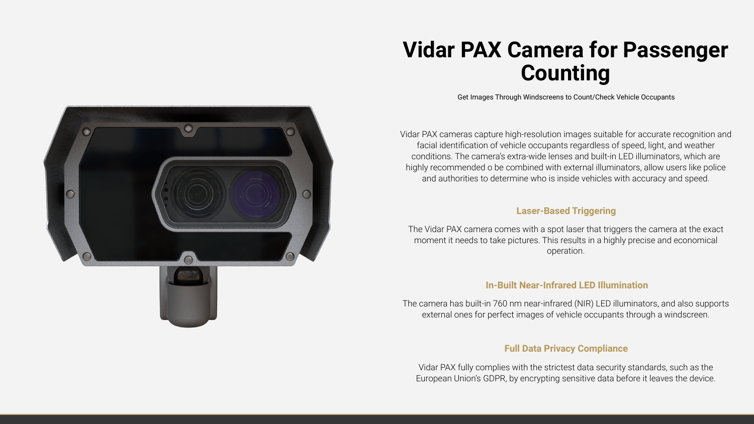

# **Vidar PAX Camera for Passenger Counting**

Vidar PAX cameras capture high-resolution images suitable for accurate recognition and facial identification of vehicle occupants regardless of speed, light, and weather conditions. The camera's extra-wide lenses and built-in LED illuminators, which are highly recommended o be combined with external illuminators, allow users like police and authorities to determine who is inside vehicles with accuracy and speed.

The Vidar PAX camera comes with a spot laser that triggers the camera at the exact moment it needs to take pictures. This results in a highly precise and economical operation.

## **Laser-Based Triggering**

# **In-Built Near-Infrared LED Illumination**

The camera has built-in 760 nm near-infrared (NIR) LED illuminators, and also supports external ones for perfect images of vehicle occupants through a windscreen.

# **Full Data Privacy Compliance**

Vidar PAX fully complies with the strictest data security standards, such as the European Union's GDPR, by encrypting sensitive data before it leaves the device.









Get Images Through Windscreens to Count/Check Vehicle Occupants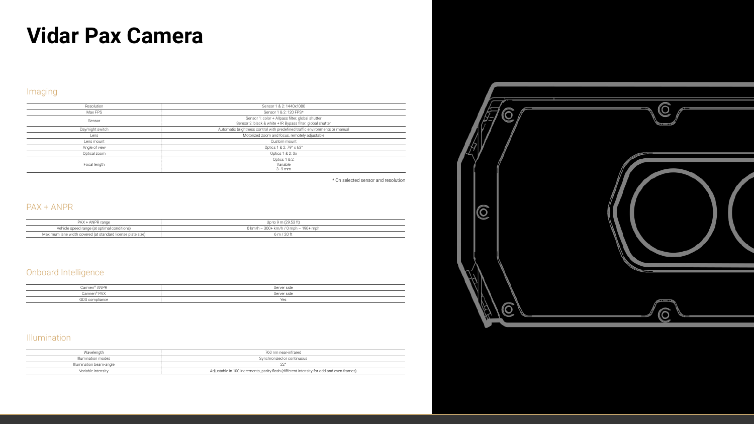| Resolution       | Sensor 1 & 2: 1440x1080                                                                                        |
|------------------|----------------------------------------------------------------------------------------------------------------|
| Max FPS          | Sensor 1 & 2: 120 FPS*                                                                                         |
| Sensor           | Sensor 1: color + Allpass filter, global shutter<br>Sensor 2: black & white + IR Bypass filter, global shutter |
| Day/night switch | Automatic brightness control with predefined traffic environments or manual                                    |
| Lens             | Motorized zoom and focus, remotely adjustable                                                                  |
| Lens mount       | Custom mount                                                                                                   |
| Angle of view    | Optics 1 & 2: 79° x 63°                                                                                        |
| Optical zoom     | Optics 1 & 2: 3x                                                                                               |
| Focal length     | Optics 1 & 2:<br>Variable<br>$3-9$ mm                                                                          |

### Imaging

| PAX + ANPR range                                            | Up to 9 m (29.53 ft)                            |
|-------------------------------------------------------------|-------------------------------------------------|
| Vehicle speed range (at optimal conditions)                 | $0 \text{ km/h}$ – 300+ km/h / 0 mph – 190+ mph |
| Maximum lane width covered (at standard license plate size) | 6 m / 20 ft                                     |

#### PAX + ANPR

| Carmen <sup>®</sup> ANPR | Server side |
|--------------------------|-------------|
| Carmen® PAX              | Server side |
| GDS compliance           | Yes         |

### Onboard Intelligence

# **Vidar Pax Camera**

### Illumination

| Wavelenath              | 760 nm near-infrared                                                                     |
|-------------------------|------------------------------------------------------------------------------------------|
| Illumination modes      | Synchronized or continuous                                                               |
| Illumination beam-angle |                                                                                          |
| Variable intensity      | Adjustable in 100 increments, parity flash (different intensity for odd and even frames) |

\* On selected sensor and resolution